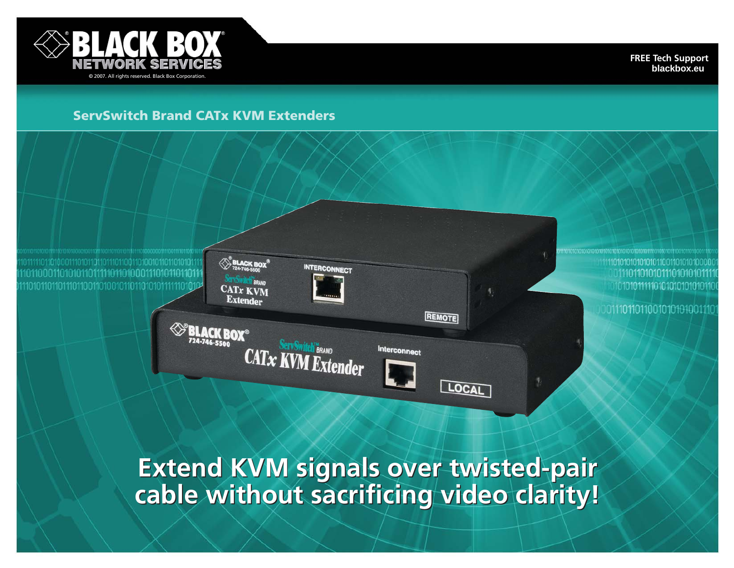

**FREE Tech Support blackbox.eu**

# **ServSwitch Brand CATx KVM Extenders**

 $\bigotimes_{724.746.580}^{\infty}$ BLACK BOX<sup>8</sup>

CATx KVM **Extender** 

**SPELACK BOX®** 

724-746-5500

BRAND

0111011010101110101010111 10101011111101010101010101110

0111011011001010101001110

**Extend KVM signals over twisted-pair Extend KVM signals over twisted-pair cable without sacrificing video clarity! cable without sacrificing video clarity!**

REMOTE

LOCAL

Interconnect

**INTERCONNECT** 

c®<br>CATx KVM Extender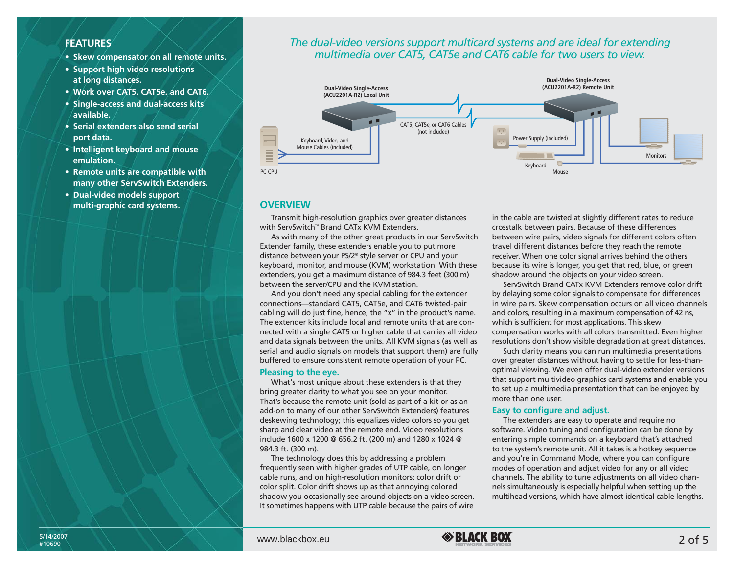## **FEATURES**

- **Skew compensator on all remote units.**
- **Support high video resolutions at long distances.**
- **Work over CAT5, CAT5e, and CAT6.**
- **Single-access and dual-access kits available.**
- **Serial extenders also send serial port data.**
- **Intelligent keyboard and mouse emulation.**
- **Remote units are compatible with many other ServSwitch Extenders.**
- **Dual-video models support multi-graphic card systems.**

## *The dual-video versions support multicard systems and are ideal for extending multimedia over CAT5, CAT5e and CAT6 cable for two users to view.*



## **OVERVIEW**

Transmit high-resolution graphics over greater distances with ServSwitch™ Brand CATx KVM Extenders.

As with many of the other great products in our ServSwitch Extender family, these extenders enable you to put more distance between your PS/2® style server or CPU and your keyboard, monitor, and mouse (KVM) workstation. With these extenders, you get a maximum distance of 984.3 feet (300 m) between the server/CPU and the KVM station.

And you don't need any special cabling for the extender connections—standard CAT5, CAT5e, and CAT6 twisted-pair cabling will do just fine, hence, the "x" in the product's name. The extender kits include local and remote units that are connected with a single CAT5 or higher cable that carries all video and data signals between the units. All KVM signals (as well as serial and audio signals on models that support them) are fully buffered to ensure consistent remote operation of your PC.

## **Pleasing to the eye.**

What's most unique about these extenders is that they bring greater clarity to what you see on your monitor. That's because the remote unit (sold as part of a kit or as an add-on to many of our other ServSwitch Extenders) features deskewing technology; this equalizes video colors so you get sharp and clear video at the remote end. Video resolutions include 1600 x 1200 @ 656.2 ft. (200 m) and 1280 x 1024 @ 984.3 ft. (300 m).

The technology does this by addressing a problem frequently seen with higher grades of UTP cable, on longer cable runs, and on high-resolution monitors: color drift or color split. Color drift shows up as that annoying colored shadow you occasionally see around objects on a video screen. It sometimes happens with UTP cable because the pairs of wire

in the cable are twisted at slightly different rates to reduce crosstalk between pairs. Because of these differences between wire pairs, video signals for different colors often travel different distances before they reach the remote receiver. When one color signal arrives behind the others because its wire is longer, you get that red, blue, or green shadow around the objects on your video screen.

ServSwitch Brand CATx KVM Extenders remove color drift by delaying some color signals to compensate for differences in wire pairs. Skew compensation occurs on all video channels and colors, resulting in a maximum compensation of 42 ns, which is sufficient for most applications. This skew compensation works with all colors transmitted. Even higher resolutions don't show visible degradation at great distances.

Such clarity means you can run multimedia presentations over greater distances without having to settle for less-thanoptimal viewing. We even offer dual-video extender versions that support multivideo graphics card systems and enable you to set up a multimedia presentation that can be enjoyed by more than one user.

## **Easy to configure and adjust.**

The extenders are easy to operate and require no software. Video tuning and configuration can be done by entering simple commands on a keyboard that's attached to the system's remote unit. All it takes is a hotkey sequence and you're in Command Mode, where you can configure modes of operation and adjust video for any or all video channels. The ability to tune adjustments on all video channels simultaneously is especially helpful when setting up the multihead versions, which have almost identical cable lengths.

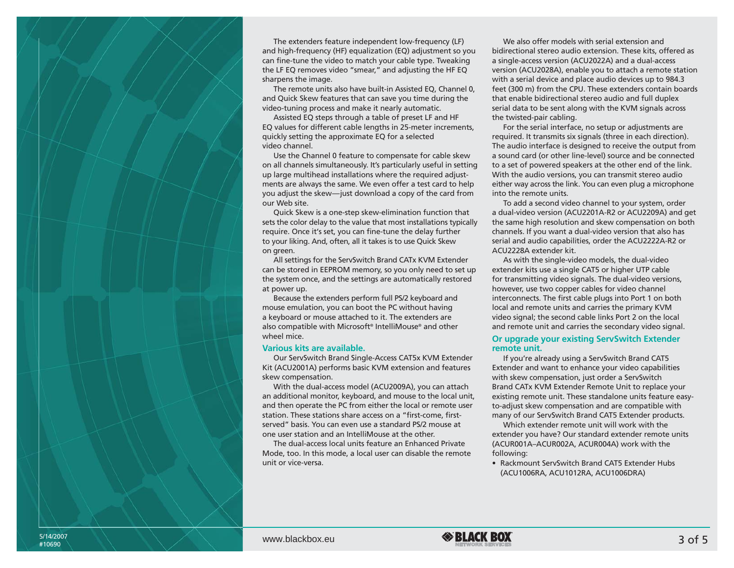The extenders feature independent low-frequency (LF) and high-frequency (HF) equalization (EQ) adjustment so you can fine-tune the video to match your cable type. Tweaking the LF EQ removes video "smear," and adjusting the HF EQ sharpens the image.

The remote units also have built-in Assisted EQ, Channel 0, and Quick Skew features that can save you time during the video-tuning process and make it nearly automatic.

Assisted EQ steps through a table of preset LF and HF EQ values for different cable lengths in 25-meter increments, quickly setting the approximate EQ for a selected video channel.

Use the Channel 0 feature to compensate for cable skew on all channels simultaneously. It's particularly useful in setting up large multihead installations where the required adjustments are always the same. We even offer a test card to help you adjust the skew—just download a copy of the card from our Web site.

Quick Skew is a one-step skew-elimination function that sets the color delay to the value that most installations typically require. Once it's set, you can fine-tune the delay further to your liking. And, often, all it takes is to use Quick Skew on green.

All settings for the ServSwitch Brand CATx KVM Extender can be stored in EEPROM memory, so you only need to set up the system once, and the settings are automatically restored at power up.

Because the extenders perform full PS/2 keyboard and mouse emulation, you can boot the PC without having a keyboard or mouse attached to it. The extenders are also compatible with Microsoft® IntelliMouse® and other wheel mice.

#### **Various kits are available.**

Our ServSwitch Brand Single-Access CAT5x KVM Extender Kit (ACU2001A) performs basic KVM extension and features skew compensation.

With the dual-access model (ACU2009A), you can attach an additional monitor, keyboard, and mouse to the local unit, and then operate the PC from either the local or remote user station. These stations share access on a "first-come, firstserved" basis. You can even use a standard PS/2 mouse at one user station and an IntelliMouse at the other.

The dual-access local units feature an Enhanced Private Mode, too. In this mode, a local user can disable the remote unit or vice-versa.

We also offer models with serial extension and bidirectional stereo audio extension. These kits, offered as a single-access version (ACU2022A) and a dual-access version (ACU2028A), enable you to attach a remote station with a serial device and place audio devices up to 984.3 feet (300 m) from the CPU. These extenders contain boards that enable bidirectional stereo audio and full duplex serial data to be sent along with the KVM signals across the twisted-pair cabling.

For the serial interface, no setup or adjustments are required. It transmits six signals (three in each direction). The audio interface is designed to receive the output from a sound card (or other line-level) source and be connected to a set of powered speakers at the other end of the link. With the audio versions, you can transmit stereo audio either way across the link. You can even plug a microphone into the remote units.

To add a second video channel to your system, order a dual-video version (ACU2201A-R2 or ACU2209A) and get the same high resolution and skew compensation on both channels. If you want a dual-video version that also has serial and audio capabilities, order the ACU2222A-R2 or ACU2228A extender kit.

As with the single-video models, the dual-video extender kits use a single CAT5 or higher UTP cable for transmitting video signals. The dual-video versions, however, use two copper cables for video channel interconnects. The first cable plugs into Port 1 on both local and remote units and carries the primary KVM video signal; the second cable links Port 2 on the local and remote unit and carries the secondary video signal.

### **Or upgrade your existing ServSwitch Extender remote unit.**

If you're already using a ServSwitch Brand CAT5 Extender and want to enhance your video capabilities with skew compensation, just order a ServSwitch Brand CATx KVM Extender Remote Unit to replace your existing remote unit. These standalone units feature easyto-adjust skew compensation and are compatible with many of our ServSwitch Brand CAT5 Extender products.

Which extender remote unit will work with the extender you have? Our standard extender remote units (ACUR001A–ACUR002A, ACUR004A) work with the following:

• Rackmount ServSwitch Brand CAT5 Extender Hubs (ACU1006RA, ACU1012RA, ACU1006DRA)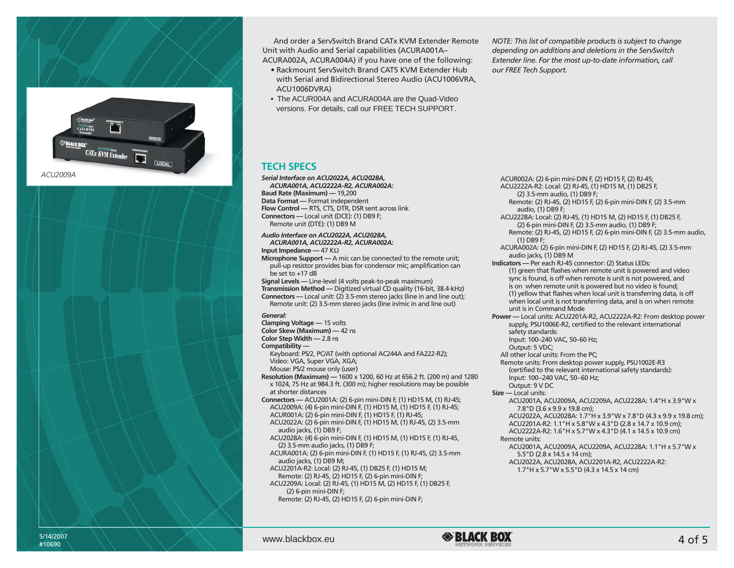

And order a ServSwitch Brand CATx KVM Extender Remote Unit with Audio and Serial capabilities (ACURA001A– ACURA002A, ACURA004A) if you have one of the following:

- Rackmount ServSwitch Brand CAT5 KVM Extender Hub with Serial and Bidirectional Stereo Audio (ACU1006VRA, ACU1006DVRA)
- The ACUR004A and ACURA004A are the Quad-Video versions. For details, call our FREE TECH SUPPORT.

*NOTE: This list of compatible products is subject to change depending on additions and deletions in the ServSwitch Extender line. For the most up-to-date information, call our FREE Tech Support.*

ACUR002A: (2) 6-pin mini-DIN F, (2) HD15 F, (2) RJ-45;

## **TECH SPECS**

*Serial Interface on ACU2022A, ACU2028A, ACURA001A, ACU2222A-R2, ACURA002A:* **Baud Rate (Maximum) —** 19,200 **Data Format —** Format independent **Flow Control —** RTS, CTS, DTR, DSR sent across link **Connectors —** Local unit (DCE): (1) DB9 F; Remote unit (DTE): (1) DB9 M

#### *Audio Interface on ACU2022A, ACU2028A, ACURA001A, ACU2222A-R2, ACURA002A:*

**Input Impedance —** 47 KΩ **Microphone Support —** A mic can be connected to the remote unit; pull-up resistor provides bias for condensor mic; amplification can be set to +17 dB

**Signal Levels —** Line-level (4 volts peak-to-peak maximum) **Transmission Method —** Digitized virtual CD quality (16-bit, 38.4-kHz) **Connectors —** Local unit: (2) 3.5-mm stereo jacks (line in and line out); Remote unit: (2) 3.5-mm stereo jacks (line in/mic in and line out)

#### *General:*

**Clamping Voltage —** 15 volts **Color Skew (Maximum) —** 42 ns

**Color Step Width —** 2.8 ns

**Compatibility —** 

Keyboard: PS/2, PC/AT (with optional AC244A and FA222-R2); Video: VGA, Super VGA, XGA; Mouse: PS/2 mouse only (user)

- **Resolution (Maximum) —** 1600 x 1200, 60 Hz at 656.2 ft. (200 m) and 1280 x 1024, 75 Hz at 984.3 ft. (300 m); higher resolutions may be possible at shorter distances
- **Connectors —** ACU2001A: (2) 6-pin mini-DIN F, (1) HD15 M, (1) RJ-45; ACU2009A: (4) 6-pin mini-DIN F, (1) HD15 M, (1) HD15 F, (1) RJ-45; ACUR001A: (2) 6-pin mini-DIN F, (1) HD15 F, (1) RJ-45; ACU2022A: (2) 6-pin mini-DIN F, (1) HD15 M, (1) RJ-45, (2) 3.5-mm audio jacks, (1) DB9 F;

ACU2028A: (4) 6-pin mini-DIN F, (1) HD15 M, (1) HD15 F, (1) RJ-45, (2) 3.5-mm audio jacks, (1) DB9 F;

ACURA001A: (2) 6-pin mini-DIN F, (1) HD15 F, (1) RJ-45, (2) 3.5-mm audio jacks, (1) DB9 M;

ACU2201A-R2: Local: (2) RJ-45, (1) DB25 F, (1) HD15 M; Remote: (2) RJ-45, (2) HD15 F, (2) 6-pin mini-DIN F;

ACU2209A: Local: (2) RJ-45, (1) HD15 M, (2) HD15 F, (1) DB25 F, (2) 6-pin mini-DIN F; Remote: (2) RJ-45, (2) HD15 F, (2) 6-pin mini-DIN F;

ACU2222A-R2: Local: (2) RJ-45, (1) HD15 M, (1) DB25 F, (2) 3.5-mm audio, (1) DB9 F; Remote: (2) RJ-45, (2) HD15 F, (2) 6-pin mini-DIN F, (2) 3.5-mm audio, (1) DB9 F; ACU2228A: Local: (2) RJ-45, (1) HD15 M, (2) HD15 F, (1) DB25 F, (2) 6-pin mini-DIN F, (2) 3.5-mm audio, (1) DB9 F; Remote: (2) RJ-45, (2) HD15 F, (2) 6-pin mini-DIN F, (2) 3.5-mm audio, (1) DB9 F; ACURA002A: (2) 6-pin mini-DIN F, (2) HD15 F, (2) RJ-45, (2) 3.5-mm audio jacks, (1) DB9 M **Indicators —** Per each RJ-45 connector: (2) Status LEDs: (1) green that flashes when remote unit is powered and video sync is found, is off when remote is unit is not powered, and is on when remote unit is powered but no video is found; (1) yellow that flashes when local unit is transferring data, is off when local unit is not transferring data, and is on when remote unit is in Command Mode **Power —** Local units: ACU2201A-R2, ACU2222A-R2: From desktop power supply, PSU1006E-R2, certified to the relevant international safety standards: Input: 100–240 VAC, 50–60 Hz; Output: 5 VDC; All other local units: From the PC; Remote units: From desktop power supply, PSU1002E-R3 (certified to the relevant international safety standards): Input: 100–240 VAC, 50–60 Hz; Output: 9 V DC **Size —** Local units: ACU2001A, ACU2009A, ACU2209A, ACU2228A: 1.4"H x 3.9"W x 7.8"D (3.6 x 9.9 x 19.8 cm); ACU2022A, ACU2028A: 1.7"H x 3.9"W x 7.8"D (4.3 x 9.9 x 19.8 cm); ACU2201A-R2: 1.1"H x 5.8"W x 4.3"D (2.8 x 14.7 x 10.9 cm); ACU2222A-R2: 1.6"H x 5.7"W x 4.3"D (4.1 x 14.5 x 10.9 cm) Remote units: ACU2001A, ACU2009A, ACU2209A, ACU2228A: 1.1"H x 5.7"W x 5.5"D (2.8 x 14.5 x 14 cm);

ACU2022A, ACU2028A, ACU2201A-R2, ACU2222A-R2: 1.7"H x 5.7"W x 5.5"D (4.3 x 14.5 x 14 cm)